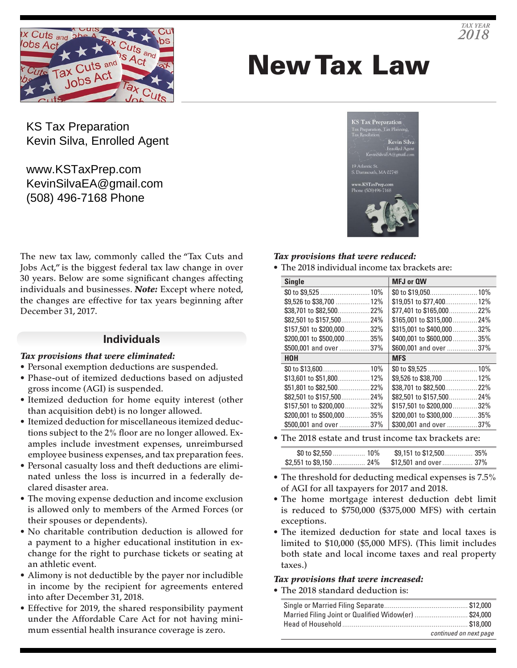

# New Tax Law

**KS Tax Preparation** Preparation<br>D KSTaxPrep

KS Tax Preparation Kevin Silva, Enrolled Agent

www.KSTaxPrep.com KevinSilvaEA@gmail.com (508) 496-7168 Phone

The new tax law, commonly called the "Tax Cuts and Jobs Act," is the biggest federal tax law change in over 30 years. Below are some significant changes affecting individuals and businesses. *Note:* Except where noted, the changes are effective for tax years beginning after December 31, 2017.

## **Individuals**

#### *Tax provisions that were eliminated:*

- Personal exemption deductions are suspended.
- Phase-out of itemized deductions based on adjusted gross income (AGI) is suspended.
- Itemized deduction for home equity interest (other than acquisition debt) is no longer allowed.
- Itemized deduction for miscellaneous itemized deductions subject to the 2% floor are no longer allowed. Examples include investment expenses, unreimbursed employee business expenses, and tax preparation fees.
- Personal casualty loss and theft deductions are eliminated unless the loss is incurred in a federally declared disaster area.
- The moving expense deduction and income exclusion is allowed only to members of the Armed Forces (or their spouses or dependents).
- No charitable contribution deduction is allowed for a payment to a higher educational institution in exchange for the right to purchase tickets or seating at an athletic event.
- Alimony is not deductible by the payer nor includible in income by the recipient for agreements entered into after December 31, 2018.
- Effective for 2019, the shared responsibility payment under the Affordable Care Act for not having minimum essential health insurance coverage is zero.

### *Tax provisions that were reduced:*

• The 2018 individual income tax brackets are:

| <b>Single</b>                | MFJ or QW                   |
|------------------------------|-----------------------------|
|                              |                             |
| \$9,526 to \$38,700  12%     | \$19,051 to \$77,400 12%    |
|                              | \$77,401 to \$165,000 22%   |
| \$82,501 to \$157,50024%     | \$165,001 to \$315,000  24% |
| \$157.501 to \$200.00032%    | \$315,001 to \$400,00032%   |
| \$200,001 to \$500,00035%    | \$400,001 to \$600,000  35% |
| \$500,001 and over 37%       | \$600,001 and over 37%      |
| HOH                          | <b>MFS</b>                  |
|                              |                             |
|                              |                             |
|                              |                             |
|                              | \$82,501 to \$157,50024%    |
| $$157.501$ to $$200.000$ 32% | \$157.501 to \$200.00032%   |
| \$200,001 to \$500,00035%    | \$200,001 to \$300,00035%   |
| \$500,001 and over 37%       | \$300,001 and over 37%      |

• The 2018 estate and trust income tax brackets are:

| \$0 to \$2,550  10%                            |  |
|------------------------------------------------|--|
| \$2,551 to \$9,150  24% \$12,501 and over  37% |  |

- The threshold for deducting medical expenses is 7.5% of AGI for all taxpayers for 2017 and 2018.
- The home mortgage interest deduction debt limit is reduced to \$750,000 (\$375,000 MFS) with certain exceptions.
- The itemized deduction for state and local taxes is limited to \$10,000 (\$5,000 MFS). (This limit includes both state and local income taxes and real property taxes.)

## *Tax provisions that were increased:*

• The 2018 standard deduction is:

| Married Filing Joint or Qualified Widow(er) \$24,000 |                        |
|------------------------------------------------------|------------------------|
|                                                      |                        |
|                                                      | continued on next page |